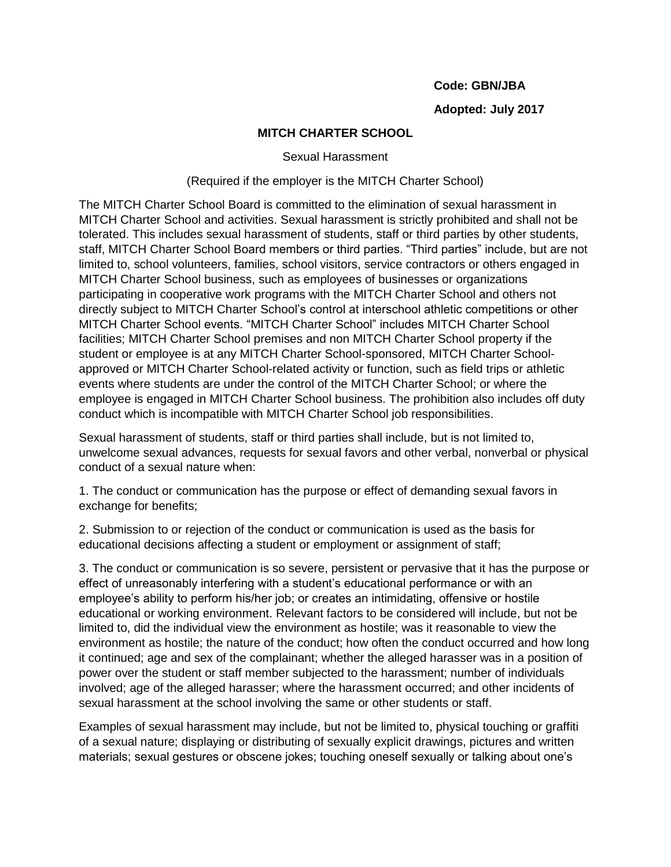## **Code: GBN/JBA**

# **Adopted: July 2017**

# **MITCH CHARTER SCHOOL**

#### Sexual Harassment

## (Required if the employer is the MITCH Charter School)

The MITCH Charter School Board is committed to the elimination of sexual harassment in MITCH Charter School and activities. Sexual harassment is strictly prohibited and shall not be tolerated. This includes sexual harassment of students, staff or third parties by other students, staff, MITCH Charter School Board members or third parties. "Third parties" include, but are not limited to, school volunteers, families, school visitors, service contractors or others engaged in MITCH Charter School business, such as employees of businesses or organizations participating in cooperative work programs with the MITCH Charter School and others not directly subject to MITCH Charter School's control at interschool athletic competitions or other MITCH Charter School events. "MITCH Charter School" includes MITCH Charter School facilities; MITCH Charter School premises and non MITCH Charter School property if the student or employee is at any MITCH Charter School-sponsored, MITCH Charter Schoolapproved or MITCH Charter School-related activity or function, such as field trips or athletic events where students are under the control of the MITCH Charter School; or where the employee is engaged in MITCH Charter School business. The prohibition also includes off duty conduct which is incompatible with MITCH Charter School job responsibilities.

Sexual harassment of students, staff or third parties shall include, but is not limited to, unwelcome sexual advances, requests for sexual favors and other verbal, nonverbal or physical conduct of a sexual nature when:

1. The conduct or communication has the purpose or effect of demanding sexual favors in exchange for benefits;

2. Submission to or rejection of the conduct or communication is used as the basis for educational decisions affecting a student or employment or assignment of staff;

3. The conduct or communication is so severe, persistent or pervasive that it has the purpose or effect of unreasonably interfering with a student's educational performance or with an employee's ability to perform his/her job; or creates an intimidating, offensive or hostile educational or working environment. Relevant factors to be considered will include, but not be limited to, did the individual view the environment as hostile; was it reasonable to view the environment as hostile; the nature of the conduct; how often the conduct occurred and how long it continued; age and sex of the complainant; whether the alleged harasser was in a position of power over the student or staff member subjected to the harassment; number of individuals involved; age of the alleged harasser; where the harassment occurred; and other incidents of sexual harassment at the school involving the same or other students or staff.

Examples of sexual harassment may include, but not be limited to, physical touching or graffiti of a sexual nature; displaying or distributing of sexually explicit drawings, pictures and written materials; sexual gestures or obscene jokes; touching oneself sexually or talking about one's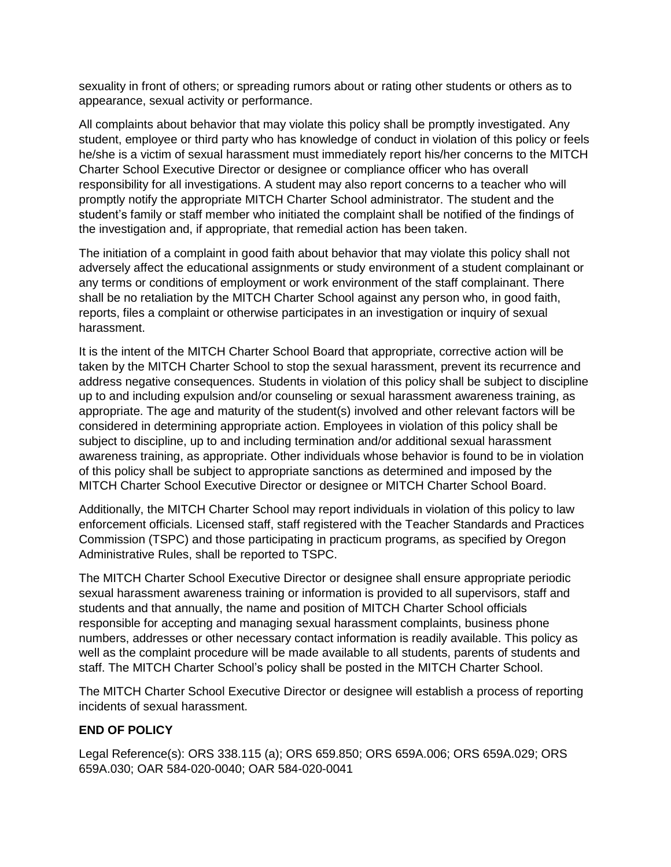sexuality in front of others; or spreading rumors about or rating other students or others as to appearance, sexual activity or performance.

All complaints about behavior that may violate this policy shall be promptly investigated. Any student, employee or third party who has knowledge of conduct in violation of this policy or feels he/she is a victim of sexual harassment must immediately report his/her concerns to the MITCH Charter School Executive Director or designee or compliance officer who has overall responsibility for all investigations. A student may also report concerns to a teacher who will promptly notify the appropriate MITCH Charter School administrator. The student and the student's family or staff member who initiated the complaint shall be notified of the findings of the investigation and, if appropriate, that remedial action has been taken.

The initiation of a complaint in good faith about behavior that may violate this policy shall not adversely affect the educational assignments or study environment of a student complainant or any terms or conditions of employment or work environment of the staff complainant. There shall be no retaliation by the MITCH Charter School against any person who, in good faith, reports, files a complaint or otherwise participates in an investigation or inquiry of sexual harassment.

It is the intent of the MITCH Charter School Board that appropriate, corrective action will be taken by the MITCH Charter School to stop the sexual harassment, prevent its recurrence and address negative consequences. Students in violation of this policy shall be subject to discipline up to and including expulsion and/or counseling or sexual harassment awareness training, as appropriate. The age and maturity of the student(s) involved and other relevant factors will be considered in determining appropriate action. Employees in violation of this policy shall be subject to discipline, up to and including termination and/or additional sexual harassment awareness training, as appropriate. Other individuals whose behavior is found to be in violation of this policy shall be subject to appropriate sanctions as determined and imposed by the MITCH Charter School Executive Director or designee or MITCH Charter School Board.

Additionally, the MITCH Charter School may report individuals in violation of this policy to law enforcement officials. Licensed staff, staff registered with the Teacher Standards and Practices Commission (TSPC) and those participating in practicum programs, as specified by Oregon Administrative Rules, shall be reported to TSPC.

The MITCH Charter School Executive Director or designee shall ensure appropriate periodic sexual harassment awareness training or information is provided to all supervisors, staff and students and that annually, the name and position of MITCH Charter School officials responsible for accepting and managing sexual harassment complaints, business phone numbers, addresses or other necessary contact information is readily available. This policy as well as the complaint procedure will be made available to all students, parents of students and staff. The MITCH Charter School's policy shall be posted in the MITCH Charter School.

The MITCH Charter School Executive Director or designee will establish a process of reporting incidents of sexual harassment.

# **END OF POLICY**

Legal Reference(s): ORS 338.115 (a); ORS 659.850; ORS 659A.006; ORS 659A.029; ORS 659A.030; OAR 584-020-0040; OAR 584-020-0041